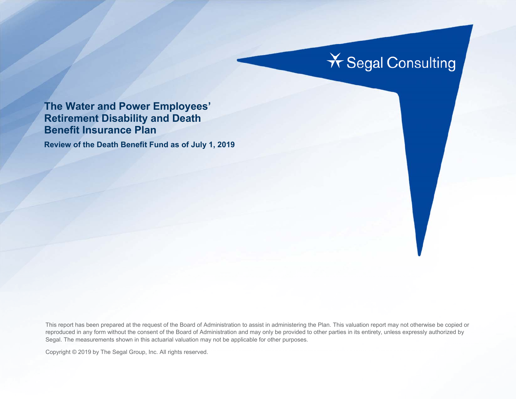# **X** Segal Consulting

### **The Water and Power Employees' Retirement Disability and Death Benefit Insurance Plan**

**Review of the Death Benefit Fund as of July 1, 2019** 

This report has been prepared at the request of the Board of Administration to assist in administering the Plan. This valuation report may not otherwise be copied or reproduced in any form without the consent of the Board of Administration and may only be provided to other parties in its entirety, unless expressly authorized by Segal. The measurements shown in this actuarial valuation may not be applicable for other purposes.

Copyright © 2019 by The Segal Group, Inc. All rights reserved.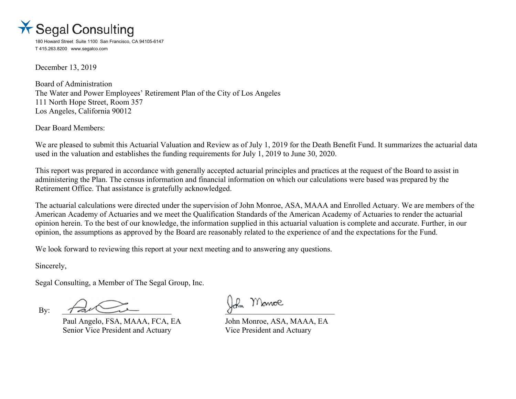

180 Howard Street Suite 1100 San Francisco, CA 94105-6147 T 415.263.8200 www.segalco.com

December 13, 2019

Board of Administration The Water and Power Employees' Retirement Plan of the City of Los Angeles 111 North Hope Street, Room 357 Los Angeles, California 90012

Dear Board Members:

We are pleased to submit this Actuarial Valuation and Review as of July 1, 2019 for the Death Benefit Fund. It summarizes the actuarial data used in the valuation and establishes the funding requirements for July 1, 2019 to June 30, 2020.

This report was prepared in accordance with generally accepted actuarial principles and practices at the request of the Board to assist in administering the Plan. The census information and financial information on which our calculations were based was prepared by the Retirement Office. That assistance is gratefully acknowledged.

The actuarial calculations were directed under the supervision of John Monroe, ASA, MAAA and Enrolled Actuary. We are members of the American Academy of Actuaries and we meet the Qualification Standards of the American Academy of Actuaries to render the actuarial opinion herein. To the best of our knowledge, the information supplied in this actuarial valuation is complete and accurate. Further, in our opinion, the assumptions as approved by the Board are reasonably related to the experience of and the expectations for the Fund.

We look forward to reviewing this report at your next meeting and to answering any questions.

Sincerely,

Segal Consulting, a Member of The Segal Group, Inc.

By:  $\tau \rightarrow 0$ 

Paul Angelo, FSA, MAAA, FCA, EA John Monroe, ASA, MAAA, EA Senior Vice President and Actuary Vice President and Actuary

Monroe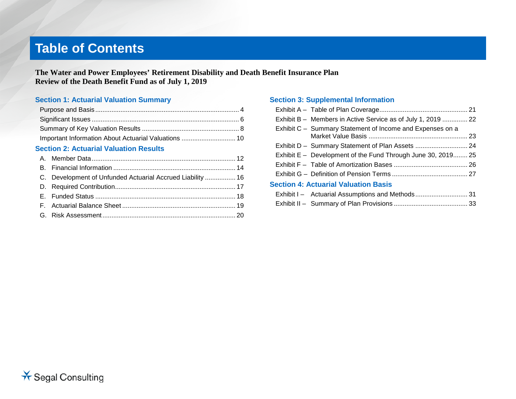## **Table of Contents**

**The Water and Power Employees' Retirement Disability and Death Benefit Insurance Plan Review of the Death Benefit Fund as of July 1, 2019**

#### **Section 1: Actuarial Valuation Summary**

| Important Information About Actuarial Valuations  10 |  |
|------------------------------------------------------|--|

#### **Section 2: Actuarial Valuation Results**

| C. Development of Unfunded Actuarial Accrued Liability  16 |  |
|------------------------------------------------------------|--|
|                                                            |  |
|                                                            |  |
|                                                            |  |
|                                                            |  |
|                                                            |  |

#### **Section 3: Supplemental Information**

| Exhibit B - Members in Active Service as of July 1, 2019  22 |  |
|--------------------------------------------------------------|--|
| Exhibit C - Summary Statement of Income and Expenses on a    |  |
|                                                              |  |
| Exhibit E – Development of the Fund Through June 30, 2019 25 |  |
|                                                              |  |
|                                                              |  |
| <b>Section 4: Actuarial Valuation Basis</b>                  |  |
|                                                              |  |
|                                                              |  |
|                                                              |  |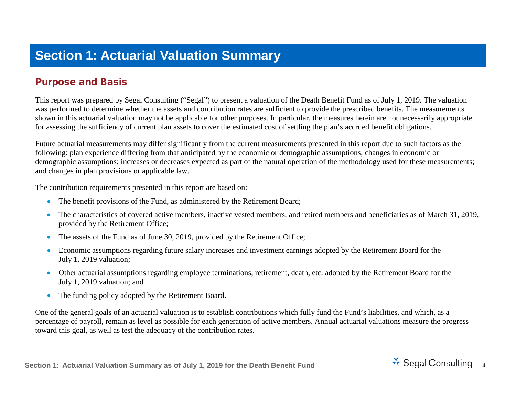## **Section 1: Actuarial Valuation Summary**

#### Purpose and Basis

This report was prepared by Segal Consulting ("Segal") to present a valuation of the Death Benefit Fund as of July 1, 2019. The valuation was performed to determine whether the assets and contribution rates are sufficient to provide the prescribed benefits. The measurements shown in this actuarial valuation may not be applicable for other purposes. In particular, the measures herein are not necessarily appropriate for assessing the sufficiency of current plan assets to cover the estimated cost of settling the plan's accrued benefit obligations.

Future actuarial measurements may differ significantly from the current measurements presented in this report due to such factors as the following: plan experience differing from that anticipated by the economic or demographic assumptions; changes in economic or demographic assumptions; increases or decreases expected as part of the natural operation of the methodology used for these measurements; and changes in plan provisions or applicable law.

The contribution requirements presented in this report are based on:

- The benefit provisions of the Fund, as administered by the Retirement Board;
- The characteristics of covered active members, inactive vested members, and retired members and beneficiaries as of March 31, 2019, provided by the Retirement Office;
- The assets of the Fund as of June 30, 2019, provided by the Retirement Office;
- Economic assumptions regarding future salary increases and investment earnings adopted by the Retirement Board for the July 1, 2019 valuation;
- Other actuarial assumptions regarding employee terminations, retirement, death, etc. adopted by the Retirement Board for the July 1, 2019 valuation; and
- The funding policy adopted by the Retirement Board.

One of the general goals of an actuarial valuation is to establish contributions which fully fund the Fund's liabilities, and which, as a percentage of payroll, remain as level as possible for each generation of active members. Annual actuarial valuations measure the progress toward this goal, as well as test the adequacy of the contribution rates.

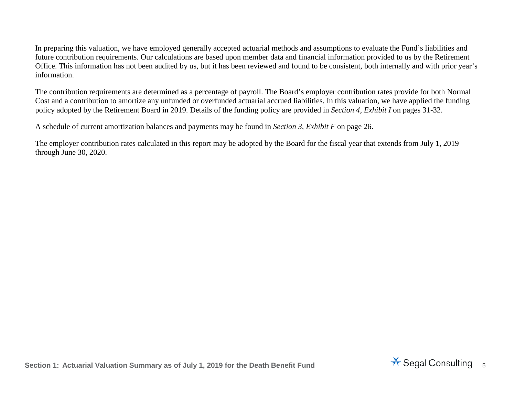In preparing this valuation, we have employed generally accepted actuarial methods and assumptions to evaluate the Fund's liabilities and future contribution requirements. Our calculations are based upon member data and financial information provided to us by the Retirement Office. This information has not been audited by us, but it has been reviewed and found to be consistent, both internally and with prior year's information.

The contribution requirements are determined as a percentage of payroll. The Board's employer contribution rates provide for both Normal Cost and a contribution to amortize any unfunded or overfunded actuarial accrued liabilities. In this valuation, we have applied the funding policy adopted by the Retirement Board in 2019. Details of the funding policy are provided in *Section 4, Exhibit I* on pages 31-32.

A schedule of current amortization balances and payments may be found in *Section 3, Exhibit F* on page [26.](#page-25-0)

The employer contribution rates calculated in this report may be adopted by the Board for the fiscal year that extends from July 1, 2019 through June 30, 2020.

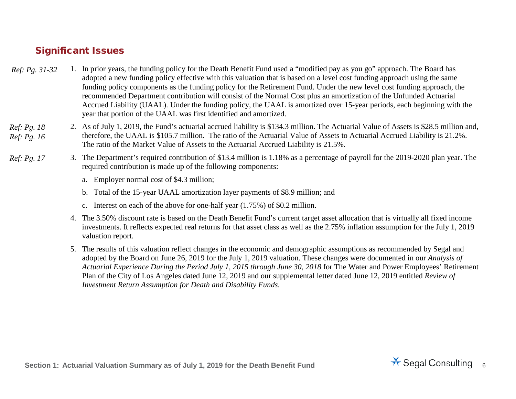#### Significant Issues

- 1. In prior years, the funding policy for the Death Benefit Fund used a "modified pay as you go" approach. The Board has adopted a new funding policy effective with this valuation that is based on a level cost funding approach using the same funding policy components as the funding policy for the Retirement Fund. Under the new level cost funding approach, the recommended Department contribution will consist of the Normal Cost plus an amortization of the Unfunded Actuarial Accrued Liability (UAAL). Under the funding policy, the UAAL is amortized over 15-year periods, each beginning with the year that portion of the UAAL was first identified and amortized. *Ref: Pg. 31-32*
- 2. As of July 1, 2019, the Fund's actuarial accrued liability is \$134.3 million. The Actuarial Value of Assets is \$28.5 million and, therefore, the UAAL is \$105.7 million. The ratio of the Actuarial Value of Assets to Actuarial Accrued Liability is 21.2%. The ratio of the Market Value of Assets to the Actuarial Accrued Liability is 21.5%. *Ref: Pg. [18](#page-17-0) Ref: Pg. [16](#page-15-0)*
- 3. The Department's required contribution of \$13.4 million is 1.18% as a percentage of payroll for the 2019-2020 plan year. The required contribution is made up of the following components: *Ref: Pg. 17*
	- a. Employer normal cost of \$4.3 million;
	- b. Total of the 15-year UAAL amortization layer payments of \$8.9 million; and
	- c. Interest on each of the above for one-half year (1.75%) of \$0.2 million.
	- 4. The 3.50% discount rate is based on the Death Benefit Fund's current target asset allocation that is virtually all fixed income investments. It reflects expected real returns for that asset class as well as the 2.75% inflation assumption for the July 1, 2019 valuation report.
	- 5. The results of this valuation reflect changes in the economic and demographic assumptions as recommended by Segal and adopted by the Board on June 26, 2019 for the July 1, 2019 valuation. These changes were documented in our *Analysis of Actuarial Experience During the Period July 1, 2015 through June 30, 2018* for The Water and Power Employees' Retirement Plan of the City of Los Angeles dated June 12, 2019 and our supplemental letter dated June 12, 2019 entitled *Review of Investment Return Assumption for Death and Disability Funds*.

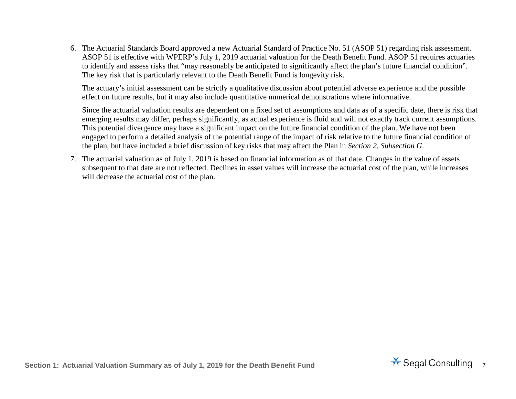6. The Actuarial Standards Board approved a new Actuarial Standard of Practice No. 51 (ASOP 51) regarding risk assessment. ASOP 51 is effective with WPERP's July 1, 2019 actuarial valuation for the Death Benefit Fund. ASOP 51 requires actuaries to identify and assess risks that "may reasonably be anticipated to significantly affect the plan's future financial condition". The key risk that is particularly relevant to the Death Benefit Fund is longevity risk.

The actuary's initial assessment can be strictly a qualitative discussion about potential adverse experience and the possible effect on future results, but it may also include quantitative numerical demonstrations where informative.

Since the actuarial valuation results are dependent on a fixed set of assumptions and data as of a specific date, there is risk that emerging results may differ, perhaps significantly, as actual experience is fluid and will not exactly track current assumptions. This potential divergence may have a significant impact on the future financial condition of the plan. We have not been engaged to perform a detailed analysis of the potential range of the impact of risk relative to the future financial condition of the plan, but have included a brief discussion of key risks that may affect the Plan in *Section 2, Subsection G*.

7. The actuarial valuation as of July 1, 2019 is based on financial information as of that date. Changes in the value of assets subsequent to that date are not reflected. Declines in asset values will increase the actuarial cost of the plan, while increases will decrease the actuarial cost of the plan.

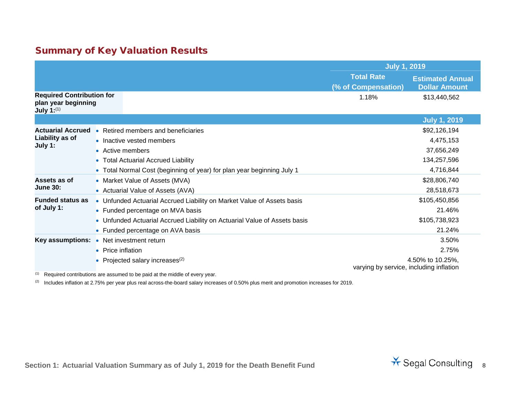### Summary of Key Valuation Results

|                                                                                 |                   |                                                                           | <b>July 1, 2019</b>                      |                                                 |
|---------------------------------------------------------------------------------|-------------------|---------------------------------------------------------------------------|------------------------------------------|-------------------------------------------------|
|                                                                                 |                   |                                                                           | <b>Total Rate</b><br>(% of Compensation) | <b>Estimated Annual</b><br><b>Dollar Amount</b> |
| <b>Required Contribution for</b><br>plan year beginning<br><b>July 1:</b> $(1)$ |                   |                                                                           | 1.18%                                    | \$13,440,562                                    |
|                                                                                 |                   |                                                                           |                                          | <b>July 1, 2019</b>                             |
| <b>Actuarial Accrued</b>                                                        |                   | • Retired members and beneficiaries                                       |                                          | \$92,126,194                                    |
| Liability as of                                                                 |                   | • Inactive vested members                                                 |                                          | 4,475,153                                       |
| July 1:                                                                         | • Active members  |                                                                           |                                          | 37,656,249                                      |
|                                                                                 |                   | • Total Actuarial Accrued Liability                                       |                                          | 134,257,596                                     |
|                                                                                 |                   | • Total Normal Cost (beginning of year) for plan year beginning July 1    |                                          | 4,716,844                                       |
| Assets as of                                                                    |                   | • Market Value of Assets (MVA)                                            |                                          | \$28,806,740                                    |
| <b>June 30:</b>                                                                 |                   | • Actuarial Value of Assets (AVA)                                         |                                          | 28,518,673                                      |
| <b>Funded status as</b>                                                         |                   | • Unfunded Actuarial Accrued Liability on Market Value of Assets basis    |                                          | \$105,450,856                                   |
| of July 1:                                                                      |                   | • Funded percentage on MVA basis                                          |                                          | 21.46%                                          |
|                                                                                 |                   | • Unfunded Actuarial Accrued Liability on Actuarial Value of Assets basis |                                          | \$105,738,923                                   |
|                                                                                 |                   | • Funded percentage on AVA basis                                          |                                          | 21.24%                                          |
| <b>Key assumptions:</b>                                                         |                   | • Net investment return                                                   |                                          | 3.50%                                           |
|                                                                                 | • Price inflation |                                                                           |                                          | 2.75%                                           |
|                                                                                 |                   | Projected salary increases <sup>(2)</sup>                                 | varying by service, including inflation  | 4.50% to 10.25%,                                |

 $(1)$  Required contributions are assumed to be paid at the middle of every year.

<sup>(2)</sup> Includes inflation at 2.75% per year plus real across-the-board salary increases of 0.50% plus merit and promotion increases for 2019.

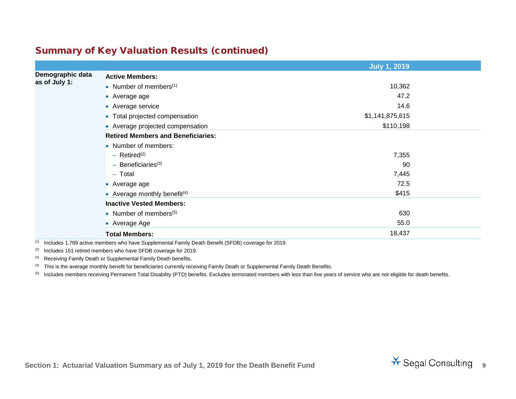### Summary of Key Valuation Results (continued)

|                  |                                           | <b>July 1, 2019</b> |  |
|------------------|-------------------------------------------|---------------------|--|
| Demographic data | <b>Active Members:</b>                    |                     |  |
| as of July 1:    | • Number of members $(1)$                 | 10,362              |  |
|                  | • Average age                             | 47.2                |  |
|                  | • Average service                         | 14.6                |  |
|                  | • Total projected compensation            | \$1,141,875,615     |  |
|                  | • Average projected compensation          | \$110,198           |  |
|                  | <b>Retired Members and Beneficiaries:</b> |                     |  |
|                  | • Number of members:                      |                     |  |
|                  | $-$ Retired <sup>(2)</sup>                | 7,355               |  |
|                  | $-$ Beneficiaries <sup>(3)</sup>          | 90                  |  |
|                  | $-$ Total                                 | 7,445               |  |
|                  | • Average age                             | 72.5                |  |
|                  | • Average monthly benefit $(4)$           | \$415               |  |
|                  | <b>Inactive Vested Members:</b>           |                     |  |
|                  | • Number of members $(5)$                 | 630                 |  |
|                  | • Average Age                             | 55.0                |  |
|                  | <b>Total Members:</b>                     | 18,437              |  |

(1) Includes 1,789 active members who have Supplemental Family Death Benefit (SFDB) coverage for 2019.

 $(2)$  Includes 151 retired members who have SFDB coverage for 2019.

<sup>(3)</sup> Receiving Family Death or Supplemental Family Death benefits.

(4) This is the average monthly benefit for beneficiaries currently receiving Family Death or Supplemental Family Death Benefits.

<sup>(5)</sup> Includes members receiving Permanent Total Disability (PTD) benefits. Excludes terminated members with less than five years of service who are not eligible for death benefits.

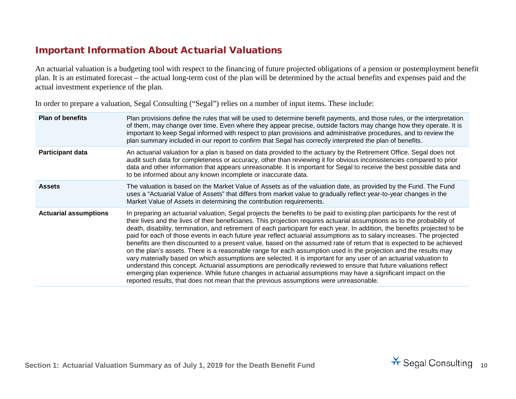#### Important Information About Actuarial Valuations

An actuarial valuation is a budgeting tool with respect to the financing of future projected obligations of a pension or postemployment benefit plan. It is an estimated forecast – the actual long-term cost of the plan will be determined by the actual benefits and expenses paid and the actual investment experience of the plan.

In order to prepare a valuation, Segal Consulting ("Segal") relies on a number of input items. These include:

| <b>Plan of benefits</b>      | Plan provisions define the rules that will be used to determine benefit payments, and those rules, or the interpretation<br>of them, may change over time. Even where they appear precise, outside factors may change how they operate. It is<br>important to keep Segal informed with respect to plan provisions and administrative procedures, and to review the<br>plan summary included in our report to confirm that Segal has correctly interpreted the plan of benefits.                                                                                                                                                                                                                                                                                                                                                                                                                                                                                                                                                                                                                                                                                                                                |
|------------------------------|----------------------------------------------------------------------------------------------------------------------------------------------------------------------------------------------------------------------------------------------------------------------------------------------------------------------------------------------------------------------------------------------------------------------------------------------------------------------------------------------------------------------------------------------------------------------------------------------------------------------------------------------------------------------------------------------------------------------------------------------------------------------------------------------------------------------------------------------------------------------------------------------------------------------------------------------------------------------------------------------------------------------------------------------------------------------------------------------------------------------------------------------------------------------------------------------------------------|
| <b>Participant data</b>      | An actuarial valuation for a plan is based on data provided to the actuary by the Retirement Office. Segal does not<br>audit such data for completeness or accuracy, other than reviewing it for obvious inconsistencies compared to prior<br>data and other information that appears unreasonable. It is important for Segal to receive the best possible data and<br>to be informed about any known incomplete or inaccurate data.                                                                                                                                                                                                                                                                                                                                                                                                                                                                                                                                                                                                                                                                                                                                                                           |
| <b>Assets</b>                | The valuation is based on the Market Value of Assets as of the valuation date, as provided by the Fund. The Fund<br>uses a "Actuarial Value of Assets" that differs from market value to gradually reflect year-to-year changes in the<br>Market Value of Assets in determining the contribution requirements.                                                                                                                                                                                                                                                                                                                                                                                                                                                                                                                                                                                                                                                                                                                                                                                                                                                                                                 |
| <b>Actuarial assumptions</b> | In preparing an actuarial valuation, Segal projects the benefits to be paid to existing plan participants for the rest of<br>their lives and the lives of their beneficiaries. This projection requires actuarial assumptions as to the probability of<br>death, disability, termination, and retirement of each participant for each year. In addition, the benefits projected to be<br>paid for each of those events in each future year reflect actuarial assumptions as to salary increases. The projected<br>benefits are then discounted to a present value, based on the assumed rate of return that is expected to be achieved<br>on the plan's assets. There is a reasonable range for each assumption used in the projection and the results may<br>vary materially based on which assumptions are selected. It is important for any user of an actuarial valuation to<br>understand this concept. Actuarial assumptions are periodically reviewed to ensure that future valuations reflect<br>emerging plan experience. While future changes in actuarial assumptions may have a significant impact on the<br>reported results, that does not mean that the previous assumptions were unreasonable. |

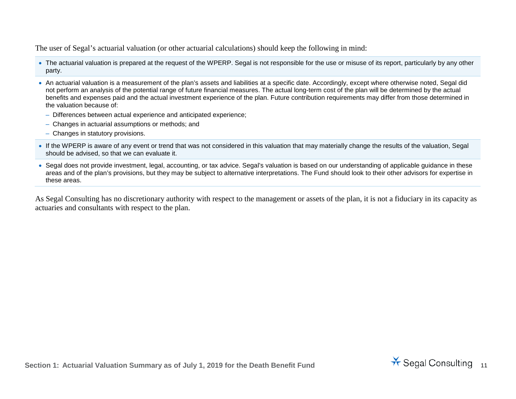The user of Segal's actuarial valuation (or other actuarial calculations) should keep the following in mind:

- The actuarial valuation is prepared at the request of the WPERP. Segal is not responsible for the use or misuse of its report, particularly by any other party.
- An actuarial valuation is a measurement of the plan's assets and liabilities at a specific date. Accordingly, except where otherwise noted, Segal did not perform an analysis of the potential range of future financial measures. The actual long-term cost of the plan will be determined by the actual benefits and expenses paid and the actual investment experience of the plan. Future contribution requirements may differ from those determined in the valuation because of:
	- Differences between actual experience and anticipated experience;
	- Changes in actuarial assumptions or methods; and
	- Changes in statutory provisions.
- If the WPERP is aware of any event or trend that was not considered in this valuation that may materially change the results of the valuation, Segal should be advised, so that we can evaluate it.
- Segal does not provide investment, legal, accounting, or tax advice. Segal's valuation is based on our understanding of applicable guidance in these areas and of the plan's provisions, but they may be subject to alternative interpretations. The Fund should look to their other advisors for expertise in these areas.

As Segal Consulting has no discretionary authority with respect to the management or assets of the plan, it is not a fiduciary in its capacity as actuaries and consultants with respect to the plan.

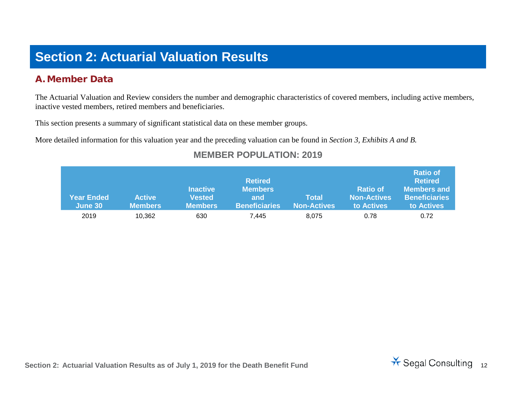## **Section 2: Actuarial Valuation Results**

#### A. Member Data

The Actuarial Valuation and Review considers the number and demographic characteristics of covered members, including active members, inactive vested members, retired members and beneficiaries.

This section presents a summary of significant statistical data on these member groups.

More detailed information for this valuation year and the preceding valuation can be found in *Section 3, Exhibits A and B.*

| <b>Year Ended</b><br>June 30 | <b>Active</b><br><b>Members</b> | <b>Inactive</b><br><b>Vested</b><br><b>Members</b> | <b>Retired</b><br><b>Members</b><br>and<br><b>Beneficiaries</b> | Total<br><b>Non-Actives</b> | <b>Ratio of</b><br><b>Non-Actives</b><br>to Actives | <b>Ratio of</b><br><b>Retired</b><br>Members and<br><b>Beneficiaries</b><br>to Actives |
|------------------------------|---------------------------------|----------------------------------------------------|-----------------------------------------------------------------|-----------------------------|-----------------------------------------------------|----------------------------------------------------------------------------------------|
| 2019                         | 10,362                          | 630                                                | 7.445                                                           | 8.075                       | 0.78                                                | 0.72                                                                                   |

#### **MEMBER POPULATION: 2019**

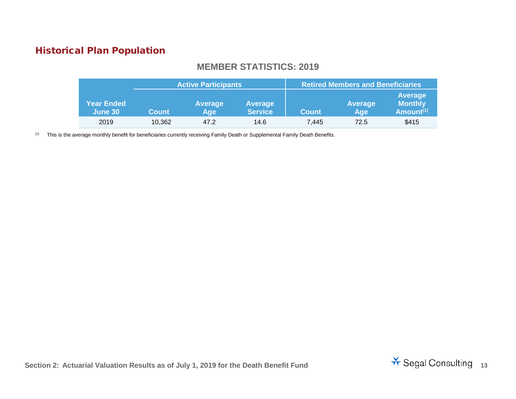### Historical Plan Population

#### **MEMBER STATISTICS: 2019**

|                              | <b>Active Participants</b> |                       |                                  |              | <b>Retired Members and Beneficiaries</b> |                                           |
|------------------------------|----------------------------|-----------------------|----------------------------------|--------------|------------------------------------------|-------------------------------------------|
| <b>Year Ended</b><br>June 30 | <b>Count</b>               | <b>Average</b><br>Age | <b>Average</b><br><b>Service</b> | <b>Count</b> | Average<br>Age                           | Average<br><b>Monthly</b><br>Amount $(1)$ |
| 2019                         | 10.362                     | 47.2                  | 14.6                             | 7.445        | 72.5                                     | \$415                                     |

(1) This is the average monthly benefit for beneficiaries currently receiving Family Death or Supplemental Family Death Benefits.

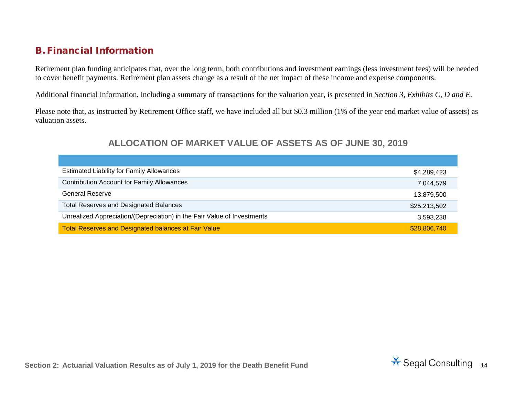#### B. Financial Information

Retirement plan funding anticipates that, over the long term, both contributions and investment earnings (less investment fees) will be needed to cover benefit payments. Retirement plan assets change as a result of the net impact of these income and expense components.

Additional financial information, including a summary of transactions for the valuation year, is presented in *Section 3, Exhibits C, D and E*.

Please note that, as instructed by Retirement Office staff, we have included all but \$0.3 million (1% of the year end market value of assets) as valuation assets.

#### **ALLOCATION OF MARKET VALUE OF ASSETS AS OF JUNE 30, 2019**

| <b>Estimated Liability for Family Allowances</b>                        | \$4,289,423  |
|-------------------------------------------------------------------------|--------------|
| <b>Contribution Account for Family Allowances</b>                       | 7,044,579    |
| <b>General Reserve</b>                                                  | 13,879,500   |
| <b>Total Reserves and Designated Balances</b>                           | \$25,213,502 |
| Unrealized Appreciation/(Depreciation) in the Fair Value of Investments | 3,593,238    |
| <b>Total Reserves and Designated balances at Fair Value</b>             | \$28,806,740 |

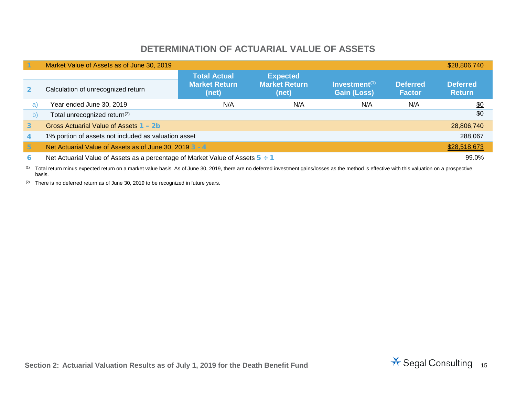#### **DETERMINATION OF ACTUARIAL VALUE OF ASSETS**

|                 | Market Value of Assets as of June 30, 2019                                         |                                                      |                                                  |                                        |                                  | \$28,806,740                     |
|-----------------|------------------------------------------------------------------------------------|------------------------------------------------------|--------------------------------------------------|----------------------------------------|----------------------------------|----------------------------------|
| $\overline{2}$  | Calculation of unrecognized return                                                 | <b>Total Actual</b><br><b>Market Return</b><br>(net) | <b>Expected</b><br><b>Market Return</b><br>(net) | Investment $(1)$<br><b>Gain (Loss)</b> | <b>Deferred</b><br><b>Factor</b> | <b>Deferred</b><br><b>Return</b> |
| a)              | Year ended June 30, 2019                                                           | N/A                                                  | N/A                                              | N/A                                    | N/A                              | \$0                              |
| b)              | Total unrecognized return <sup>(2)</sup>                                           |                                                      |                                                  |                                        |                                  | \$0                              |
| $\mathbf{3}$    | Gross Actuarial Value of Assets 1 - 2b                                             |                                                      |                                                  |                                        |                                  | 28,806,740                       |
| 4               | 1% portion of assets not included as valuation asset                               |                                                      |                                                  |                                        |                                  | 288,067                          |
| $5\phantom{.0}$ | Net Actuarial Value of Assets as of June 30, 2019 3 - 4                            |                                                      |                                                  |                                        |                                  | \$28,518,673                     |
| 6               | Net Actuarial Value of Assets as a percentage of Market Value of Assets $5 \div 1$ |                                                      |                                                  |                                        |                                  | 99.0%                            |

(1) Total return minus expected return on a market value basis. As of June 30, 2019, there are no deferred investment gains/losses as the method is effective with this valuation on a prospective basis.

 $(2)$  There is no deferred return as of June 30, 2019 to be recognized in future years.

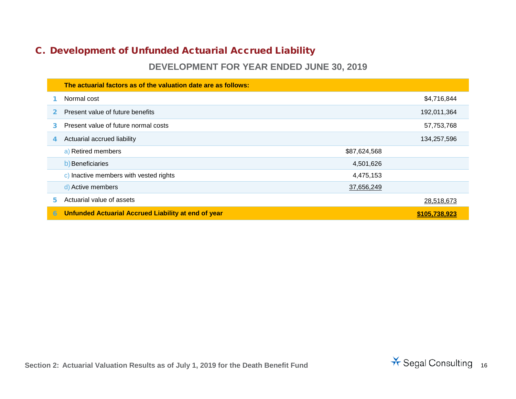### <span id="page-15-0"></span>C. Development of Unfunded Actuarial Accrued Liability

#### **DEVELOPMENT FOR YEAR ENDED JUNE 30, 2019**

|    | The actuarial factors as of the valuation date are as follows: |              |               |
|----|----------------------------------------------------------------|--------------|---------------|
|    | Normal cost                                                    |              | \$4,716,844   |
|    | Present value of future benefits                               |              | 192,011,364   |
| 3  | Present value of future normal costs                           |              | 57,753,768    |
| 4  | Actuarial accrued liability                                    |              | 134,257,596   |
|    | a) Retired members                                             | \$87,624,568 |               |
|    | b) Beneficiaries                                               | 4,501,626    |               |
|    | c) Inactive members with vested rights                         | 4,475,153    |               |
|    | d) Active members                                              | 37,656,249   |               |
| 5. | Actuarial value of assets                                      |              | 28,518,673    |
| 6  | Unfunded Actuarial Accrued Liability at end of year            |              | \$105.738.923 |

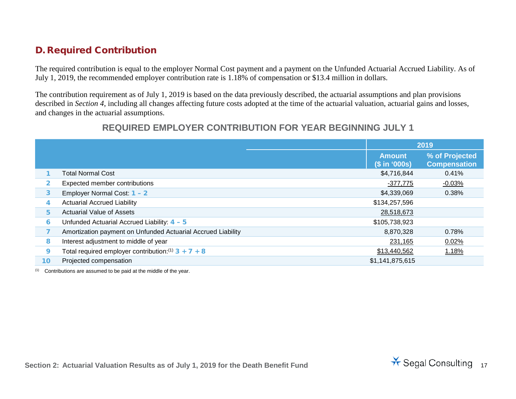#### D. Required Contribution

The required contribution is equal to the employer Normal Cost payment and a payment on the Unfunded Actuarial Accrued Liability. As of July 1, 2019, the recommended employer contribution rate is 1.18% of compensation or \$13.4 million in dollars.

The contribution requirement as of July 1, 2019 is based on the data previously described, the actuarial assumptions and plan provisions described in *Section 4*, including all changes affecting future costs adopted at the time of the actuarial valuation, actuarial gains and losses, and changes in the actuarial assumptions.

#### **REQUIRED EMPLOYER CONTRIBUTION FOR YEAR BEGINNING JULY 1**

|    |                                                              |                                | 2019                                  |
|----|--------------------------------------------------------------|--------------------------------|---------------------------------------|
|    |                                                              | <b>Amount</b><br>(\$ in '000s) | % of Projected<br><b>Compensation</b> |
|    | <b>Total Normal Cost</b>                                     | \$4,716,844                    | 0.41%                                 |
|    | Expected member contributions                                | $-377,775$                     | $-0.03%$                              |
| 3  | Employer Normal Cost: 1 - 2                                  | \$4,339,069                    | 0.38%                                 |
|    | <b>Actuarial Accrued Liability</b>                           | \$134,257,596                  |                                       |
| 5  | <b>Actuarial Value of Assets</b>                             | 28,518,673                     |                                       |
| 6  | Unfunded Actuarial Accrued Liability: 4 - 5                  | \$105,738,923                  |                                       |
|    | Amortization payment on Unfunded Actuarial Accrued Liability | 8,870,328                      | 0.78%                                 |
| 8  | Interest adjustment to middle of year                        | 231,165                        | 0.02%                                 |
| 9  | Total required employer contribution: $(1)$ 3 + 7 + 8        | \$13,440,562                   | 1.18%                                 |
| 10 | Projected compensation                                       | \$1,141,875,615                |                                       |

 $(1)$  Contributions are assumed to be paid at the middle of the year.

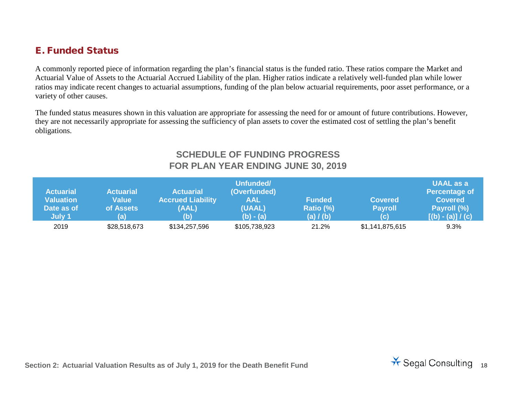#### E. Funded Status

A commonly reported piece of information regarding the plan's financial status is the funded ratio. These ratios compare the Market and Actuarial Value of Assets to the Actuarial Accrued Liability of the plan. Higher ratios indicate a relatively well-funded plan while lower ratios may indicate recent changes to actuarial assumptions, funding of the plan below actuarial requirements, poor asset performance, or a variety of other causes.

The funded status measures shown in this valuation are appropriate for assessing the need for or amount of future contributions. However, they are not necessarily appropriate for assessing the sufficiency of plan assets to cover the estimated cost of settling the plan's benefit obligations.

#### <span id="page-17-0"></span>**SCHEDULE OF FUNDING PROGRESS FOR PLAN YEAR ENDING JUNE 30, 2019**

| <b>Actuarial</b><br><b>Valuation</b><br>Date as of<br>July 1 | <b>Actuarial</b><br><b>Value</b><br>of Assets<br>(a) | <b>Actuarial</b><br><b>Accrued Liability</b><br>(AAL)<br>(b) | Unfunded/<br>(Overfunded)<br><b>AAL</b><br>(UAAL)<br>$(b) - (a)$ | <b>Funded</b><br>Ratio (%)<br>(a) / (b) | <b>Covered</b><br><b>Payroll</b><br>(c) | <b>UAAL as a</b><br><b>Percentage of</b><br><b>Covered</b><br>Payroll (%)<br>$[(b) - (a)] / (c)$ |
|--------------------------------------------------------------|------------------------------------------------------|--------------------------------------------------------------|------------------------------------------------------------------|-----------------------------------------|-----------------------------------------|--------------------------------------------------------------------------------------------------|
| 2019                                                         | \$28,518,673                                         | \$134,257,596                                                | \$105,738,923                                                    | 21.2%                                   | \$1,141,875,615                         | 9.3%                                                                                             |

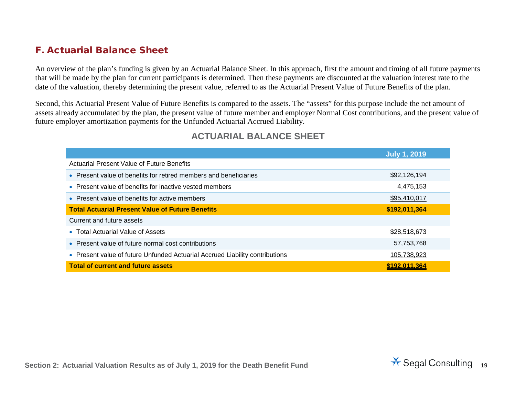#### F. Actuarial Balance Sheet

An overview of the plan's funding is given by an Actuarial Balance Sheet. In this approach, first the amount and timing of all future payments that will be made by the plan for current participants is determined. Then these payments are discounted at the valuation interest rate to the date of the valuation, thereby determining the present value, referred to as the Actuarial Present Value of Future Benefits of the plan.

Second, this Actuarial Present Value of Future Benefits is compared to the assets. The "assets" for this purpose include the net amount of assets already accumulated by the plan, the present value of future member and employer Normal Cost contributions, and the present value of future employer amortization payments for the Unfunded Actuarial Accrued Liability.

#### **ACTUARIAL BALANCE SHEET**

|                                                                              | <b>July 1, 2019</b> |
|------------------------------------------------------------------------------|---------------------|
| Actuarial Present Value of Future Benefits                                   |                     |
| • Present value of benefits for retired members and beneficiaries            | \$92,126,194        |
| • Present value of benefits for inactive vested members                      | 4,475,153           |
| • Present value of benefits for active members                               | \$95,410,017        |
| <b>Total Actuarial Present Value of Future Benefits</b>                      | \$192,011,364       |
| Current and future assets                                                    |                     |
| • Total Actuarial Value of Assets                                            | \$28,518,673        |
| • Present value of future normal cost contributions                          | 57,753,768          |
| • Present value of future Unfunded Actuarial Accrued Liability contributions | 105,738,923         |
| <b>Total of current and future assets</b>                                    | \$192.011.364       |

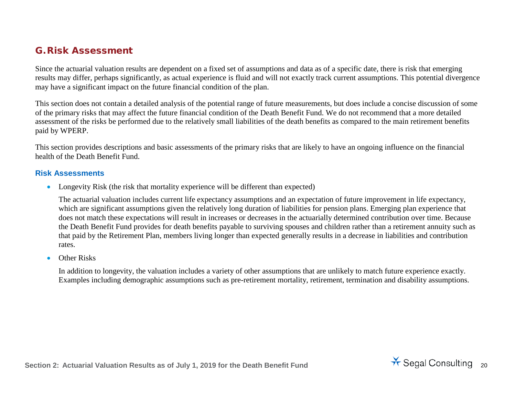#### G.Risk Assessment

Since the actuarial valuation results are dependent on a fixed set of assumptions and data as of a specific date, there is risk that emerging results may differ, perhaps significantly, as actual experience is fluid and will not exactly track current assumptions. This potential divergence may have a significant impact on the future financial condition of the plan.

This section does not contain a detailed analysis of the potential range of future measurements, but does include a concise discussion of some of the primary risks that may affect the future financial condition of the Death Benefit Fund. We do not recommend that a more detailed assessment of the risks be performed due to the relatively small liabilities of the death benefits as compared to the main retirement benefits paid by WPERP.

This section provides descriptions and basic assessments of the primary risks that are likely to have an ongoing influence on the financial health of the Death Benefit Fund.

#### **Risk Assessments**

• Longevity Risk (the risk that mortality experience will be different than expected)

The actuarial valuation includes current life expectancy assumptions and an expectation of future improvement in life expectancy, which are significant assumptions given the relatively long duration of liabilities for pension plans. Emerging plan experience that does not match these expectations will result in increases or decreases in the actuarially determined contribution over time. Because the Death Benefit Fund provides for death benefits payable to surviving spouses and children rather than a retirement annuity such as that paid by the Retirement Plan, members living longer than expected generally results in a decrease in liabilities and contribution rates.

• Other Risks

In addition to longevity, the valuation includes a variety of other assumptions that are unlikely to match future experience exactly. Examples including demographic assumptions such as pre-retirement mortality, retirement, termination and disability assumptions.

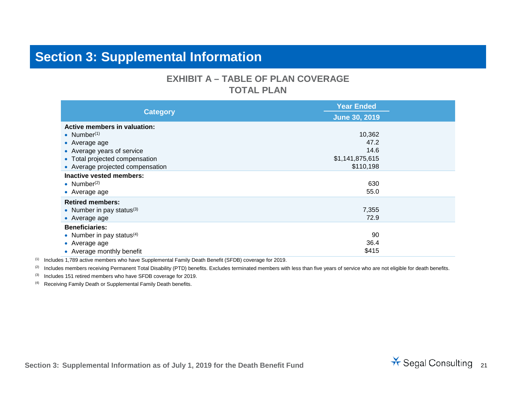### **Section 3: Supplemental Information**

#### **EXHIBIT A – TABLE OF PLAN COVERAGE TOTAL PLAN**

|                                     | <b>Year Ended</b>    |  |  |
|-------------------------------------|----------------------|--|--|
| <b>Category</b>                     | <b>June 30, 2019</b> |  |  |
| <b>Active members in valuation:</b> |                      |  |  |
| • Number $(1)$                      | 10,362               |  |  |
| • Average age                       | 47.2                 |  |  |
| • Average years of service          | 14.6                 |  |  |
| • Total projected compensation      | \$1,141,875,615      |  |  |
| • Average projected compensation    | \$110,198            |  |  |
| Inactive vested members:            |                      |  |  |
| • Number $(2)$                      | 630                  |  |  |
| • Average age                       | 55.0                 |  |  |
| <b>Retired members:</b>             |                      |  |  |
| • Number in pay status $(3)$        | 7,355                |  |  |
| • Average age                       | 72.9                 |  |  |
| <b>Beneficiaries:</b>               |                      |  |  |
| • Number in pay status $(4)$        | 90                   |  |  |
| • Average age                       | 36.4                 |  |  |
| • Average monthly benefit           | \$415                |  |  |

(1) Includes 1,789 active members who have Supplemental Family Death Benefit (SFDB) coverage for 2019.

(2) Includes members receiving Permanent Total Disability (PTD) benefits. Excludes terminated members with less than five years of service who are not eligible for death benefits.

(3) Includes 151 retired members who have SFDB coverage for 2019.

(4) Receiving Family Death or Supplemental Family Death benefits.

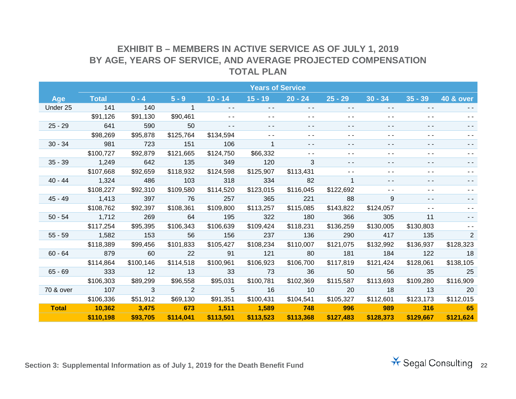#### **EXHIBIT B – MEMBERS IN ACTIVE SERVICE AS OF JULY 1, 2019 BY AGE, YEARS OF SERVICE, AND AVERAGE PROJECTED COMPENSATION TOTAL PLAN**

|              |              |           |                |               | <b>Years of Service</b> |               |             |           |               |                      |
|--------------|--------------|-----------|----------------|---------------|-------------------------|---------------|-------------|-----------|---------------|----------------------|
| Age          | <b>Total</b> | $0 - 4$   | $5 - 9$        | $10 - 14$     | $15 - 19$               | $20 - 24$     | $25 - 29$   | $30 - 34$ | $35 - 39$     | <b>40 &amp; over</b> |
| Under 25     | 141          | 140       | $\overline{1}$ | - -           | $ -$                    | - -           | - -         | - -       |               |                      |
|              | \$91,126     | \$91,130  | \$90,461       |               |                         |               | $ -$        | - -       |               |                      |
| $25 - 29$    | 641          | 590       | 50             | $\frac{1}{2}$ | $ -$                    | - -           | - -         | - -       | - -           |                      |
|              | \$98,269     | \$95,878  | \$125,764      | \$134,594     |                         | $ -$          | $ -$        | - -       | - -           |                      |
| $30 - 34$    | 981          | 723       | 151            | 106           |                         | $\sim$ $\sim$ | $ -$        | - -       | $ -$          |                      |
|              | \$100,727    | \$92,879  | \$121,665      | \$124,750     | \$66,332                | $\sim$ $\sim$ | $ -$        | - -       | $ -$          |                      |
| $35 - 39$    | 1,249        | 642       | 135            | 349           | 120                     | 3             | - -         | - -       |               | - -                  |
|              | \$107,668    | \$92,659  | \$118,932      | \$124,598     | \$125,907               | \$113,431     | ۰.          | ۰.        |               |                      |
| $40 - 44$    | 1,324        | 486       | 103            | 318           | 334                     | 82            | $\mathbf 1$ |           |               |                      |
|              | \$108,227    | \$92,310  | \$109,580      | \$114,520     | \$123,015               | \$116,045     | \$122,692   | - -       | $ -$          |                      |
| 45 - 49      | 1,413        | 397       | 76             | 257           | 365                     | 221           | 88          | 9         | $\frac{1}{2}$ |                      |
|              | \$108,762    | \$92,397  | \$108,361      | \$109,800     | \$113,257               | \$115,085     | \$143,822   | \$124,057 | $\sim$ $\sim$ |                      |
| $50 - 54$    | 1,712        | 269       | 64             | 195           | 322                     | 180           | 366         | 305       | 11            |                      |
|              | \$117,254    | \$95,395  | \$106,343      | \$106,639     | \$109,424               | \$118,231     | \$136,259   | \$130,005 | \$130,803     |                      |
| $55 - 59$    | 1,582        | 153       | 56             | 156           | 237                     | 136           | 290         | 417       | 135           | $\overline{2}$       |
|              | \$118,389    | \$99,456  | \$101,833      | \$105,427     | \$108,234               | \$110,007     | \$121,075   | \$132,992 | \$136,937     | \$128,323            |
| $60 - 64$    | 879          | 60        | 22             | 91            | 121                     | 80            | 181         | 184       | 122           | 18                   |
|              | \$114,864    | \$100,146 | \$114,518      | \$100,961     | \$106,923               | \$106,700     | \$117,819   | \$121,424 | \$128,061     | \$138,105            |
| $65 - 69$    | 333          | 12        | 13             | 33            | 73                      | 36            | 50          | 56        | 35            | 25                   |
|              | \$106,303    | \$89,299  | \$96,558       | \$95,031      | \$100,781               | \$102,369     | \$115,587   | \$113,693 | \$109,280     | \$116,909            |
| 70 & over    | 107          | 3         | 2              | 5             | 16                      | 10            | 20          | 18        | 13            | 20                   |
|              | \$106,336    | \$51,912  | \$69,130       | \$91,351      | \$100,431               | \$104,541     | \$105,327   | \$112,601 | \$123,173     | \$112,015            |
| <b>Total</b> | 10,362       | 3,475     | 673            | 1,511         | $\overline{1,589}$      | 748           | 996         | 989       | 316           | $-65$                |
|              | \$110,198    | \$93,705  | \$114,041      | \$113,501     | \$113,523               | \$113,368     | \$127,483   | \$128,373 | \$129,667     | \$121,624            |

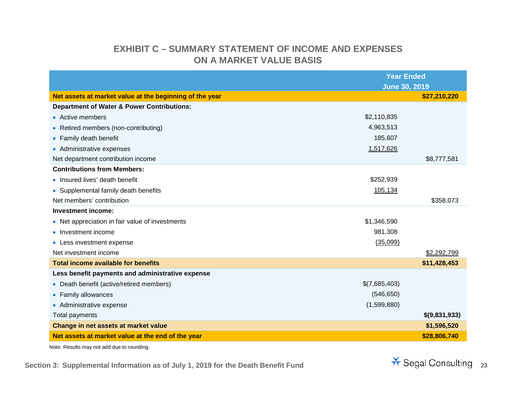### **EXHIBIT C – SUMMARY STATEMENT OF INCOME AND EXPENSES ON A MARKET VALUE BASIS**

|                                                         | <b>Year Ended</b>    |               |
|---------------------------------------------------------|----------------------|---------------|
|                                                         | <b>June 30, 2019</b> |               |
| Net assets at market value at the beginning of the year |                      | \$27,210,220  |
| <b>Department of Water &amp; Power Contributions:</b>   |                      |               |
| • Active members                                        | \$2,110,835          |               |
| • Retired members (non-contributing)                    | 4,963,513            |               |
| • Family death benefit                                  | 185,607              |               |
| • Administrative expenses                               | 1,517,626            |               |
| Net department contribution income                      |                      | \$8,777,581   |
| <b>Contributions from Members:</b>                      |                      |               |
| • Insured lives' death benefit                          | \$252,939            |               |
| • Supplemental family death benefits                    | 105,134              |               |
| Net members' contribution                               |                      | \$358,073     |
| Investment income:                                      |                      |               |
| • Net appreciation in fair value of investments         | \$1,346,590          |               |
| • Investment income                                     | 981,308              |               |
| • Less investment expense                               | (35,099)             |               |
| Net investment income                                   |                      | \$2,292,799   |
| <b>Total income available for benefits</b>              |                      | \$11,428,453  |
| Less benefit payments and administrative expense        |                      |               |
| • Death benefit (active/retired members)                | \$(7,685,403)        |               |
| • Family allowances                                     | (546, 650)           |               |
| • Administrative expense                                | (1,599,880)          |               |
| Total payments                                          |                      | \$(9,831,933) |
| Change in net assets at market value                    |                      | \$1,596,520   |
| Net assets at market value at the end of the year       |                      | \$28,806,740  |

Note: Results may not add due to rounding.

Section 3: Supplemental Information as of July 1, 2019 for the Death Benefit Fund<br> **Section 3: Supplemental Information as of July 1, 2019 for the Death Benefit Fund** 

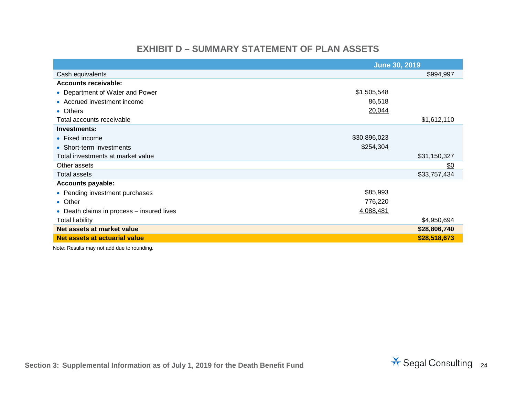#### **EXHIBIT D – SUMMARY STATEMENT OF PLAN ASSETS**

|                                           | <b>June 30, 2019</b> |              |
|-------------------------------------------|----------------------|--------------|
| Cash equivalents                          |                      | \$994,997    |
| Accounts receivable:                      |                      |              |
| • Department of Water and Power           | \$1,505,548          |              |
| • Accrued investment income               | 86,518               |              |
| • Others                                  | 20,044               |              |
| Total accounts receivable                 |                      | \$1,612,110  |
| Investments:                              |                      |              |
| • Fixed income                            | \$30,896,023         |              |
| • Short-term investments                  | \$254,304            |              |
| Total investments at market value         |                      | \$31,150,327 |
| Other assets                              |                      | \$0          |
| Total assets                              |                      | \$33,757,434 |
| <b>Accounts payable:</b>                  |                      |              |
| • Pending investment purchases            | \$85,993             |              |
| • Other                                   | 776,220              |              |
| • Death claims in process – insured lives | 4,088,481            |              |
| <b>Total liability</b>                    |                      | \$4,950,694  |
| Net assets at market value                |                      | \$28,806,740 |
| Net assets at actuarial value             |                      | \$28,518,673 |

Note: Results may not add due to rounding.

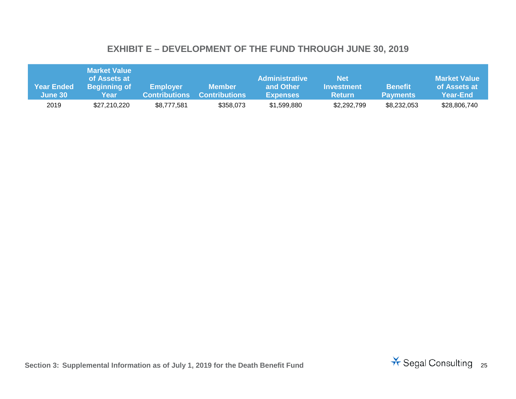### **EXHIBIT E – DEVELOPMENT OF THE FUND THROUGH JUNE 30, 2019**

| Year Ended<br>June 30 | <b>Market Value</b><br>of Assets at<br><b>Beginning of</b><br>Year | <b>Employer</b><br><b>Contributions</b> | <b>Member</b><br><b>Contributions</b> | <b>Administrative</b><br>and Other<br><b>Expenses</b> | <b>Net</b><br>Investment<br><b>Return</b> | <b>Benefit</b><br><b>Payments</b> | <b>Market Value</b><br>of Assets at<br><b>Year-End</b> |
|-----------------------|--------------------------------------------------------------------|-----------------------------------------|---------------------------------------|-------------------------------------------------------|-------------------------------------------|-----------------------------------|--------------------------------------------------------|
| 2019                  | \$27,210,220                                                       | \$8,777,581                             | \$358,073                             | \$1,599,880                                           | \$2,292,799                               | \$8,232,053                       | \$28,806,740                                           |

Section 3: Supplemental Information as of July 1, 2019 for the Death Benefit Fund<br> **Section 3: Supplemental Information as of July 1, 2019 for the Death Benefit Fund** 

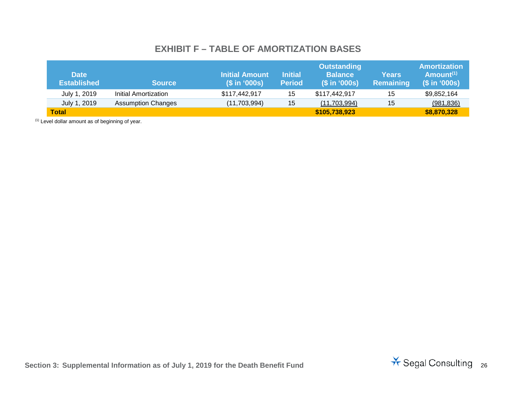#### <span id="page-25-0"></span>**EXHIBIT F – TABLE OF AMORTIZATION BASES**

| <b>Date</b><br><b>Established</b> | <b>Source</b>             | $(S \in \{0.005\})$ | <b>Initial</b><br><b>Period</b> | <b>Outstanding</b><br><b>Balance</b><br>$(S \in \{0.005\})$ | Years<br>Remaining | Amortization \<br>Amount $(1)$<br>(\$ in '000s) |
|-----------------------------------|---------------------------|---------------------|---------------------------------|-------------------------------------------------------------|--------------------|-------------------------------------------------|
| July 1, 2019                      | Initial Amortization      | \$117,442,917       | 15                              | \$117,442,917                                               | 15                 | \$9,852,164                                     |
| July 1, 2019                      | <b>Assumption Changes</b> | (11,703,994)        | 15                              | (11,703,994)                                                | 15                 | (981, 836)                                      |
| <b>Total</b>                      |                           |                     |                                 | \$105,738,923                                               |                    | \$8,870,328                                     |

 $(1)$  Level dollar amount as of beginning of year.

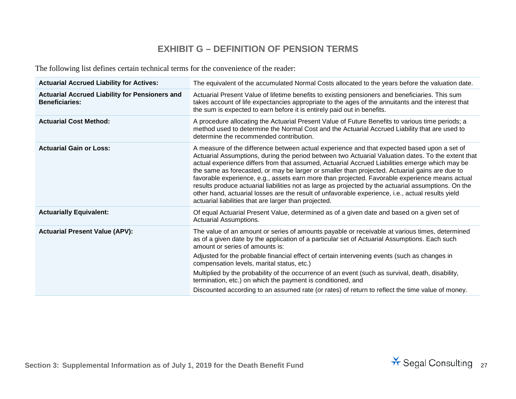#### **EXHIBIT G – DEFINITION OF PENSION TERMS**

The following list defines certain technical terms for the convenience of the reader:

| <b>Actuarial Accrued Liability for Actives:</b>                                | The equivalent of the accumulated Normal Costs allocated to the years before the valuation date.                                                                                                                                                                                                                                                                                                                                                                                                                                                                                                                                                                                                                                                                              |
|--------------------------------------------------------------------------------|-------------------------------------------------------------------------------------------------------------------------------------------------------------------------------------------------------------------------------------------------------------------------------------------------------------------------------------------------------------------------------------------------------------------------------------------------------------------------------------------------------------------------------------------------------------------------------------------------------------------------------------------------------------------------------------------------------------------------------------------------------------------------------|
| <b>Actuarial Accrued Liability for Pensioners and</b><br><b>Beneficiaries:</b> | Actuarial Present Value of lifetime benefits to existing pensioners and beneficiaries. This sum<br>takes account of life expectancies appropriate to the ages of the annuitants and the interest that<br>the sum is expected to earn before it is entirely paid out in benefits.                                                                                                                                                                                                                                                                                                                                                                                                                                                                                              |
| <b>Actuarial Cost Method:</b>                                                  | A procedure allocating the Actuarial Present Value of Future Benefits to various time periods; a<br>method used to determine the Normal Cost and the Actuarial Accrued Liability that are used to<br>determine the recommended contribution.                                                                                                                                                                                                                                                                                                                                                                                                                                                                                                                                  |
| <b>Actuarial Gain or Loss:</b>                                                 | A measure of the difference between actual experience and that expected based upon a set of<br>Actuarial Assumptions, during the period between two Actuarial Valuation dates. To the extent that<br>actual experience differs from that assumed, Actuarial Accrued Liabilities emerge which may be<br>the same as forecasted, or may be larger or smaller than projected. Actuarial gains are due to<br>favorable experience, e.g., assets earn more than projected. Favorable experience means actual<br>results produce actuarial liabilities not as large as projected by the actuarial assumptions. On the<br>other hand, actuarial losses are the result of unfavorable experience, i.e., actual results yield<br>actuarial liabilities that are larger than projected. |
| <b>Actuarially Equivalent:</b>                                                 | Of equal Actuarial Present Value, determined as of a given date and based on a given set of<br>Actuarial Assumptions.                                                                                                                                                                                                                                                                                                                                                                                                                                                                                                                                                                                                                                                         |
| <b>Actuarial Present Value (APV):</b>                                          | The value of an amount or series of amounts payable or receivable at various times, determined<br>as of a given date by the application of a particular set of Actuarial Assumptions. Each such<br>amount or series of amounts is:<br>Adjusted for the probable financial effect of certain intervening events (such as changes in<br>compensation levels, marital status, etc.)<br>Multiplied by the probability of the occurrence of an event (such as survival, death, disability,                                                                                                                                                                                                                                                                                         |
|                                                                                | termination, etc.) on which the payment is conditioned, and                                                                                                                                                                                                                                                                                                                                                                                                                                                                                                                                                                                                                                                                                                                   |
|                                                                                | Discounted according to an assumed rate (or rates) of return to reflect the time value of money.                                                                                                                                                                                                                                                                                                                                                                                                                                                                                                                                                                                                                                                                              |

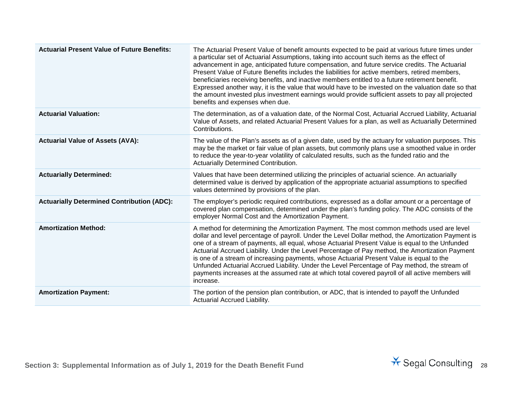| <b>Actuarial Present Value of Future Benefits:</b> | The Actuarial Present Value of benefit amounts expected to be paid at various future times under<br>a particular set of Actuarial Assumptions, taking into account such items as the effect of<br>advancement in age, anticipated future compensation, and future service credits. The Actuarial<br>Present Value of Future Benefits includes the liabilities for active members, retired members,<br>beneficiaries receiving benefits, and inactive members entitled to a future retirement benefit.<br>Expressed another way, it is the value that would have to be invested on the valuation date so that<br>the amount invested plus investment earnings would provide sufficient assets to pay all projected<br>benefits and expenses when due. |
|----------------------------------------------------|------------------------------------------------------------------------------------------------------------------------------------------------------------------------------------------------------------------------------------------------------------------------------------------------------------------------------------------------------------------------------------------------------------------------------------------------------------------------------------------------------------------------------------------------------------------------------------------------------------------------------------------------------------------------------------------------------------------------------------------------------|
| <b>Actuarial Valuation:</b>                        | The determination, as of a valuation date, of the Normal Cost, Actuarial Accrued Liability, Actuarial<br>Value of Assets, and related Actuarial Present Values for a plan, as well as Actuarially Determined<br>Contributions.                                                                                                                                                                                                                                                                                                                                                                                                                                                                                                                       |
| <b>Actuarial Value of Assets (AVA):</b>            | The value of the Plan's assets as of a given date, used by the actuary for valuation purposes. This<br>may be the market or fair value of plan assets, but commonly plans use a smoothed value in order<br>to reduce the year-to-year volatility of calculated results, such as the funded ratio and the<br><b>Actuarially Determined Contribution.</b>                                                                                                                                                                                                                                                                                                                                                                                              |
| <b>Actuarially Determined:</b>                     | Values that have been determined utilizing the principles of actuarial science. An actuarially<br>determined value is derived by application of the appropriate actuarial assumptions to specified<br>values determined by provisions of the plan.                                                                                                                                                                                                                                                                                                                                                                                                                                                                                                   |
| <b>Actuarially Determined Contribution (ADC):</b>  | The employer's periodic required contributions, expressed as a dollar amount or a percentage of<br>covered plan compensation, determined under the plan's funding policy. The ADC consists of the<br>employer Normal Cost and the Amortization Payment.                                                                                                                                                                                                                                                                                                                                                                                                                                                                                              |
| <b>Amortization Method:</b>                        | A method for determining the Amortization Payment. The most common methods used are level<br>dollar and level percentage of payroll. Under the Level Dollar method, the Amortization Payment is<br>one of a stream of payments, all equal, whose Actuarial Present Value is equal to the Unfunded<br>Actuarial Accrued Liability. Under the Level Percentage of Pay method, the Amortization Payment<br>is one of a stream of increasing payments, whose Actuarial Present Value is equal to the<br>Unfunded Actuarial Accrued Liability. Under the Level Percentage of Pay method, the stream of<br>payments increases at the assumed rate at which total covered payroll of all active members will<br>increase.                                   |
| <b>Amortization Payment:</b>                       | The portion of the pension plan contribution, or ADC, that is intended to payoff the Unfunded<br>Actuarial Accrued Liability.                                                                                                                                                                                                                                                                                                                                                                                                                                                                                                                                                                                                                        |

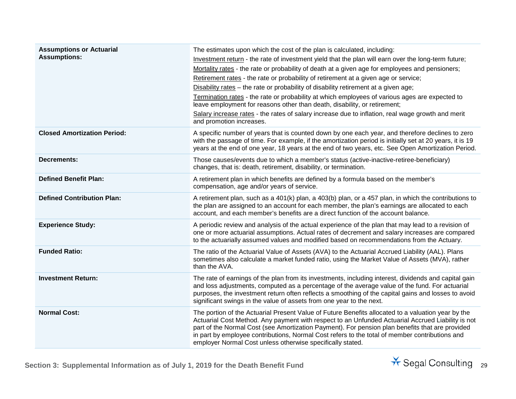| <b>Assumptions or Actuarial</b><br><b>Assumptions:</b> | The estimates upon which the cost of the plan is calculated, including:<br>Investment return - the rate of investment yield that the plan will earn over the long-term future;<br>Mortality rates - the rate or probability of death at a given age for employees and pensioners;<br>Retirement rates - the rate or probability of retirement at a given age or service;<br>Disability rates - the rate or probability of disability retirement at a given age;<br>Termination rates - the rate or probability at which employees of various ages are expected to<br>leave employment for reasons other than death, disability, or retirement;<br>Salary increase rates - the rates of salary increase due to inflation, real wage growth and merit<br>and promotion increases. |
|--------------------------------------------------------|---------------------------------------------------------------------------------------------------------------------------------------------------------------------------------------------------------------------------------------------------------------------------------------------------------------------------------------------------------------------------------------------------------------------------------------------------------------------------------------------------------------------------------------------------------------------------------------------------------------------------------------------------------------------------------------------------------------------------------------------------------------------------------|
| <b>Closed Amortization Period:</b>                     | A specific number of years that is counted down by one each year, and therefore declines to zero<br>with the passage of time. For example, if the amortization period is initially set at 20 years, it is 19<br>years at the end of one year, 18 years at the end of two years, etc. See Open Amortization Period.                                                                                                                                                                                                                                                                                                                                                                                                                                                              |
| <b>Decrements:</b>                                     | Those causes/events due to which a member's status (active-inactive-retiree-beneficiary)<br>changes, that is: death, retirement, disability, or termination.                                                                                                                                                                                                                                                                                                                                                                                                                                                                                                                                                                                                                    |
| <b>Defined Benefit Plan:</b>                           | A retirement plan in which benefits are defined by a formula based on the member's<br>compensation, age and/or years of service.                                                                                                                                                                                                                                                                                                                                                                                                                                                                                                                                                                                                                                                |
| <b>Defined Contribution Plan:</b>                      | A retirement plan, such as a 401(k) plan, a 403(b) plan, or a 457 plan, in which the contributions to<br>the plan are assigned to an account for each member, the plan's earnings are allocated to each<br>account, and each member's benefits are a direct function of the account balance.                                                                                                                                                                                                                                                                                                                                                                                                                                                                                    |
| <b>Experience Study:</b>                               | A periodic review and analysis of the actual experience of the plan that may lead to a revision of<br>one or more actuarial assumptions. Actual rates of decrement and salary increases are compared<br>to the actuarially assumed values and modified based on recommendations from the Actuary.                                                                                                                                                                                                                                                                                                                                                                                                                                                                               |
| <b>Funded Ratio:</b>                                   | The ratio of the Actuarial Value of Assets (AVA) to the Actuarial Accrued Liability (AAL). Plans<br>sometimes also calculate a market funded ratio, using the Market Value of Assets (MVA), rather<br>than the AVA.                                                                                                                                                                                                                                                                                                                                                                                                                                                                                                                                                             |
| <b>Investment Return:</b>                              | The rate of earnings of the plan from its investments, including interest, dividends and capital gain<br>and loss adjustments, computed as a percentage of the average value of the fund. For actuarial<br>purposes, the investment return often reflects a smoothing of the capital gains and losses to avoid<br>significant swings in the value of assets from one year to the next.                                                                                                                                                                                                                                                                                                                                                                                          |
| <b>Normal Cost:</b>                                    | The portion of the Actuarial Present Value of Future Benefits allocated to a valuation year by the<br>Actuarial Cost Method. Any payment with respect to an Unfunded Actuarial Accrued Liability is not<br>part of the Normal Cost (see Amortization Payment). For pension plan benefits that are provided<br>in part by employee contributions, Normal Cost refers to the total of member contributions and<br>employer Normal Cost unless otherwise specifically stated.                                                                                                                                                                                                                                                                                                      |

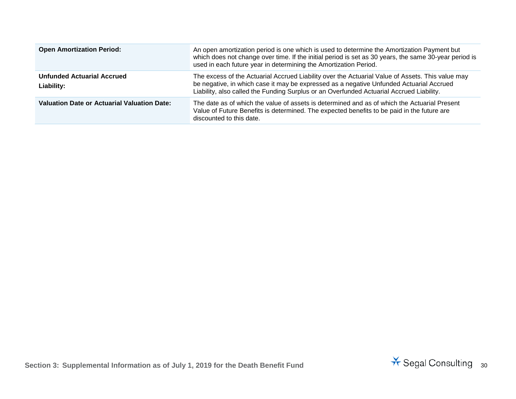| <b>Open Amortization Period:</b>                | An open amortization period is one which is used to determine the Amortization Payment but<br>which does not change over time. If the initial period is set as 30 years, the same 30-year period is<br>used in each future year in determining the Amortization Period.                 |
|-------------------------------------------------|-----------------------------------------------------------------------------------------------------------------------------------------------------------------------------------------------------------------------------------------------------------------------------------------|
| <b>Unfunded Actuarial Accrued</b><br>Liability: | The excess of the Actuarial Accrued Liability over the Actuarial Value of Assets. This value may<br>be negative, in which case it may be expressed as a negative Unfunded Actuarial Accrued<br>Liability, also called the Funding Surplus or an Overfunded Actuarial Accrued Liability. |
| Valuation Date or Actuarial Valuation Date:     | The date as of which the value of assets is determined and as of which the Actuarial Present<br>Value of Future Benefits is determined. The expected benefits to be paid in the future are<br>discounted to this date.                                                                  |

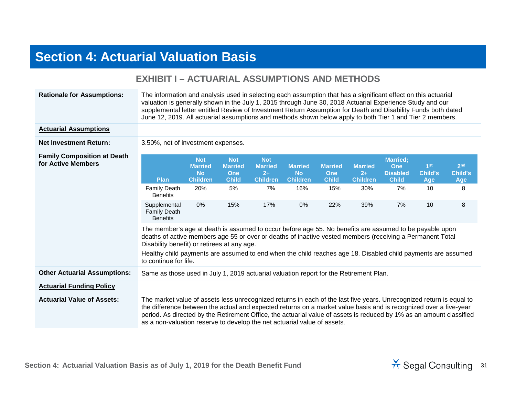## **Section 4: Actuarial Valuation Basis**

|                                                          | LAIIIDI I T AVTVANAL AVJVIII TIVNJ AND IIIL ITIVDJ                                                                                                                                                                                                                                                                                                                                                                                                                                                                              |                                                                              |                                                                         |                                                                      |                                                             |                                                            |                                                         |                                                                              |                                                      |                                             |
|----------------------------------------------------------|---------------------------------------------------------------------------------------------------------------------------------------------------------------------------------------------------------------------------------------------------------------------------------------------------------------------------------------------------------------------------------------------------------------------------------------------------------------------------------------------------------------------------------|------------------------------------------------------------------------------|-------------------------------------------------------------------------|----------------------------------------------------------------------|-------------------------------------------------------------|------------------------------------------------------------|---------------------------------------------------------|------------------------------------------------------------------------------|------------------------------------------------------|---------------------------------------------|
| <b>Rationale for Assumptions:</b>                        | The information and analysis used in selecting each assumption that has a significant effect on this actuarial<br>valuation is generally shown in the July 1, 2015 through June 30, 2018 Actuarial Experience Study and our<br>supplemental letter entitled Review of Investment Return Assumption for Death and Disability Funds both dated<br>June 12, 2019. All actuarial assumptions and methods shown below apply to both Tier 1 and Tier 2 members.                                                                       |                                                                              |                                                                         |                                                                      |                                                             |                                                            |                                                         |                                                                              |                                                      |                                             |
| <b>Actuarial Assumptions</b>                             |                                                                                                                                                                                                                                                                                                                                                                                                                                                                                                                                 |                                                                              |                                                                         |                                                                      |                                                             |                                                            |                                                         |                                                                              |                                                      |                                             |
| <b>Net Investment Return:</b>                            | 3.50%, net of investment expenses.                                                                                                                                                                                                                                                                                                                                                                                                                                                                                              |                                                                              |                                                                         |                                                                      |                                                             |                                                            |                                                         |                                                                              |                                                      |                                             |
| <b>Family Composition at Death</b><br>for Active Members | <b>Plan</b><br><b>Family Death</b><br><b>Benefits</b><br>Supplemental<br><b>Family Death</b><br><b>Benefits</b><br>The member's age at death is assumed to occur before age 55. No benefits are assumed to be payable upon<br>deaths of active members age 55 or over or deaths of inactive vested members (receiving a Permanent Total<br>Disability benefit) or retirees at any age.<br>Healthy child payments are assumed to end when the child reaches age 18. Disabled child payments are assumed<br>to continue for life. | <b>Not</b><br><b>Married</b><br><b>No</b><br><b>Children</b><br>20%<br>$0\%$ | <b>Not</b><br><b>Married</b><br><b>One</b><br><b>Child</b><br>5%<br>15% | <b>Not</b><br><b>Married</b><br>$2+$<br><b>Children</b><br>7%<br>17% | <b>Married</b><br><b>No</b><br><b>Children</b><br>16%<br>0% | <b>Married</b><br><b>One</b><br><b>Child</b><br>15%<br>22% | <b>Married</b><br>$2+$<br><b>Children</b><br>30%<br>39% | <b>Married;</b><br><b>One</b><br><b>Disabled</b><br><b>Child</b><br>7%<br>7% | 1 <sup>st</sup><br><b>Child's</b><br>Age<br>10<br>10 | 2 <sub>nd</sub><br>Child's<br>Age<br>8<br>8 |
| <b>Other Actuarial Assumptions:</b>                      | Same as those used in July 1, 2019 actuarial valuation report for the Retirement Plan.                                                                                                                                                                                                                                                                                                                                                                                                                                          |                                                                              |                                                                         |                                                                      |                                                             |                                                            |                                                         |                                                                              |                                                      |                                             |
| <b>Actuarial Funding Policy</b>                          |                                                                                                                                                                                                                                                                                                                                                                                                                                                                                                                                 |                                                                              |                                                                         |                                                                      |                                                             |                                                            |                                                         |                                                                              |                                                      |                                             |
| <b>Actuarial Value of Assets:</b>                        | The market value of assets less unrecognized returns in each of the last five years. Unrecognized return is equal to<br>the difference between the actual and expected returns on a market value basis and is recognized over a five-year<br>period. As directed by the Retirement Office, the actuarial value of assets is reduced by 1% as an amount classified<br>as a non-valuation reserve to develop the net actuarial value of assets.                                                                                   |                                                                              |                                                                         |                                                                      |                                                             |                                                            |                                                         |                                                                              |                                                      |                                             |

### **EXHIBIT I – ACTUARIAL ASSUMPTIONS AND METHODS**

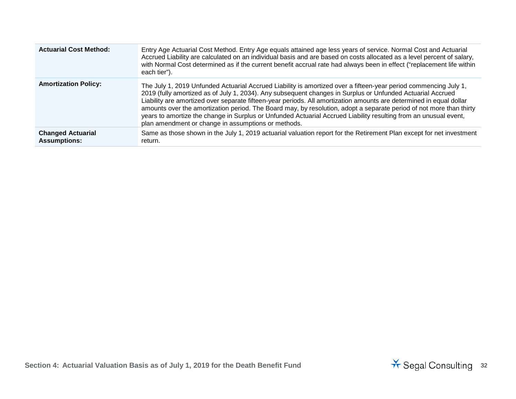| <b>Actuarial Cost Method:</b>                   | Entry Age Actuarial Cost Method. Entry Age equals attained age less years of service. Normal Cost and Actuarial<br>Accrued Liability are calculated on an individual basis and are based on costs allocated as a level percent of salary,<br>with Normal Cost determined as if the current benefit accrual rate had always been in effect ("replacement life within<br>each tier").                                                                                                                                                                                                                                                                     |
|-------------------------------------------------|---------------------------------------------------------------------------------------------------------------------------------------------------------------------------------------------------------------------------------------------------------------------------------------------------------------------------------------------------------------------------------------------------------------------------------------------------------------------------------------------------------------------------------------------------------------------------------------------------------------------------------------------------------|
| <b>Amortization Policy:</b>                     | The July 1, 2019 Unfunded Actuarial Accrued Liability is amortized over a fifteen-year period commencing July 1,<br>2019 (fully amortized as of July 1, 2034). Any subsequent changes in Surplus or Unfunded Actuarial Accrued<br>Liability are amortized over separate fifteen-year periods. All amortization amounts are determined in equal dollar<br>amounts over the amortization period. The Board may, by resolution, adopt a separate period of not more than thirty<br>years to amortize the change in Surplus or Unfunded Actuarial Accrued Liability resulting from an unusual event,<br>plan amendment or change in assumptions or methods. |
| <b>Changed Actuarial</b><br><b>Assumptions:</b> | Same as those shown in the July 1, 2019 actuarial valuation report for the Retirement Plan except for net investment<br>return.                                                                                                                                                                                                                                                                                                                                                                                                                                                                                                                         |

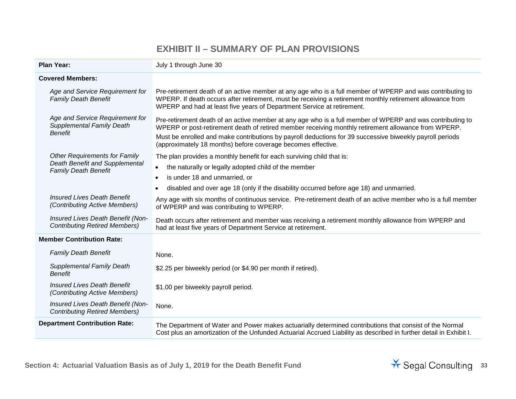#### **EXHIBIT II – SUMMARY OF PLAN PROVISIONS**

| <b>Plan Year:</b>                                                                                     | July 1 through June 30                                                                                                                                                                                                                                                                                                                                                                       |  |  |
|-------------------------------------------------------------------------------------------------------|----------------------------------------------------------------------------------------------------------------------------------------------------------------------------------------------------------------------------------------------------------------------------------------------------------------------------------------------------------------------------------------------|--|--|
| <b>Covered Members:</b>                                                                               |                                                                                                                                                                                                                                                                                                                                                                                              |  |  |
| Age and Service Requirement for<br><b>Family Death Benefit</b>                                        | Pre-retirement death of an active member at any age who is a full member of WPERP and was contributing to<br>WPERP. If death occurs after retirement, must be receiving a retirement monthly retirement allowance from<br>WPERP and had at least five years of Department Service at retirement.                                                                                             |  |  |
| Age and Service Requirement for<br><b>Supplemental Family Death</b><br><b>Benefit</b>                 | Pre-retirement death of an active member at any age who is a full member of WPERP and was contributing to<br>WPERP or post-retirement death of retired member receiving monthly retirement allowance from WPERP.<br>Must be enrolled and make contributions by payroll deductions for 39 successive biweekly payroll periods<br>(approximately 18 months) before coverage becomes effective. |  |  |
| <b>Other Requirements for Family</b><br>Death Benefit and Supplemental<br><b>Family Death Benefit</b> | The plan provides a monthly benefit for each surviving child that is:<br>the naturally or legally adopted child of the member<br>$\bullet$<br>is under 18 and unmarried, or<br>disabled and over age 18 (only if the disability occurred before age 18) and unmarried.<br>$\bullet$                                                                                                          |  |  |
| <b>Insured Lives Death Benefit</b><br>(Contributing Active Members)                                   | Any age with six months of continuous service. Pre-retirement death of an active member who is a full member<br>of WPERP and was contributing to WPERP.                                                                                                                                                                                                                                      |  |  |
| Insured Lives Death Benefit (Non-<br><b>Contributing Retired Members)</b>                             | Death occurs after retirement and member was receiving a retirement monthly allowance from WPERP and<br>had at least five years of Department Service at retirement.                                                                                                                                                                                                                         |  |  |
| <b>Member Contribution Rate:</b>                                                                      |                                                                                                                                                                                                                                                                                                                                                                                              |  |  |
| <b>Family Death Benefit</b>                                                                           | None.                                                                                                                                                                                                                                                                                                                                                                                        |  |  |
| <b>Supplemental Family Death</b><br><b>Benefit</b>                                                    | \$2.25 per biweekly period (or \$4.90 per month if retired).                                                                                                                                                                                                                                                                                                                                 |  |  |
| <b>Insured Lives Death Benefit</b><br><i>(Contributing Active Members)</i>                            | \$1.00 per biweekly payroll period.                                                                                                                                                                                                                                                                                                                                                          |  |  |
| Insured Lives Death Benefit (Non-<br><b>Contributing Retired Members)</b>                             | None.                                                                                                                                                                                                                                                                                                                                                                                        |  |  |
| <b>Department Contribution Rate:</b>                                                                  | The Department of Water and Power makes actuarially determined contributions that consist of the Normal<br>Cost plus an amortization of the Unfunded Actuarial Accrued Liability as described in further detail in Exhibit I.                                                                                                                                                                |  |  |